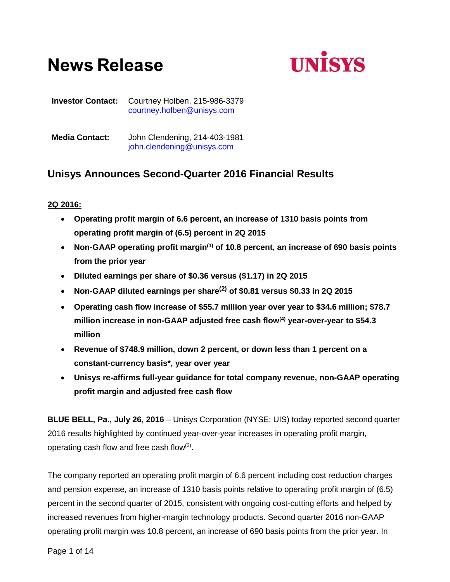# **News Release**



**Investor Contact:** Courtney Holben, 215-986-3379 [courtney.holben@unisys.com](mailto:courtney.holben@unisys.com)

**Media Contact:** John Clendening, 214-403-1981 [john.clendening@unisys.com](mailto:john.clendening@unisys.com)

## **Unisys Announces Second-Quarter 2016 Financial Results**

## **2Q 2016:**

- **Operating profit margin of 6.6 percent, an increase of 1310 basis points from operating profit margin of (6.5) percent in 2Q 2015**
- **Non-GAAP operating profit margin(1) of 10.8 percent, an increase of 690 basis points from the prior year**
- **Diluted earnings per share of \$0.36 versus (\$1.17) in 2Q 2015**
- **Non-GAAP diluted earnings per share(2) of \$0.81 versus \$0.33 in 2Q 2015**
- **Operating cash flow increase of \$55.7 million year over year to \$34.6 million; \$78.7 million increase in non-GAAP adjusted free cash flow(4) year-over-year to \$54.3 million**
- **Revenue of \$748.9 million, down 2 percent, or down less than 1 percent on a constant-currency basis\*, year over year**
- **Unisys re-affirms full-year guidance for total company revenue, non-GAAP operating profit margin and adjusted free cash flow**

**BLUE BELL, Pa., July 26, 2016** – Unisys Corporation (NYSE: UIS) today reported second quarter 2016 results highlighted by continued year-over-year increases in operating profit margin, operating cash flow and free cash flow $(3)$ .

The company reported an operating profit margin of 6.6 percent including cost reduction charges and pension expense, an increase of 1310 basis points relative to operating profit margin of (6.5) percent in the second quarter of 2015, consistent with ongoing cost-cutting efforts and helped by increased revenues from higher-margin technology products. Second quarter 2016 non-GAAP operating profit margin was 10.8 percent, an increase of 690 basis points from the prior year. In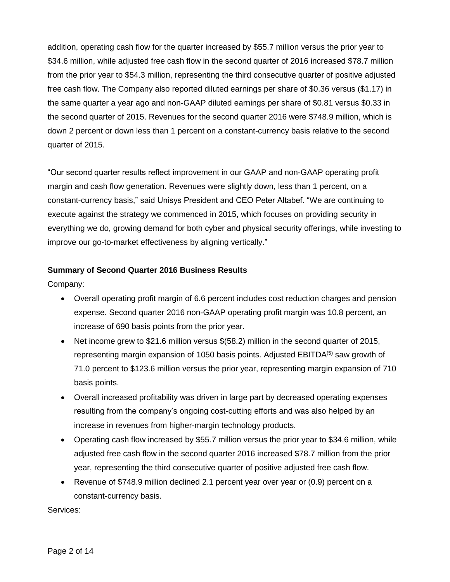addition, operating cash flow for the quarter increased by \$55.7 million versus the prior year to \$34.6 million, while adjusted free cash flow in the second quarter of 2016 increased \$78.7 million from the prior year to \$54.3 million, representing the third consecutive quarter of positive adjusted free cash flow. The Company also reported diluted earnings per share of \$0.36 versus (\$1.17) in the same quarter a year ago and non-GAAP diluted earnings per share of \$0.81 versus \$0.33 in the second quarter of 2015. Revenues for the second quarter 2016 were \$748.9 million, which is down 2 percent or down less than 1 percent on a constant-currency basis relative to the second quarter of 2015.

"Our second quarter results reflect improvement in our GAAP and non-GAAP operating profit margin and cash flow generation. Revenues were slightly down, less than 1 percent, on a constant-currency basis," said Unisys President and CEO Peter Altabef. "We are continuing to execute against the strategy we commenced in 2015, which focuses on providing security in everything we do, growing demand for both cyber and physical security offerings, while investing to improve our go-to-market effectiveness by aligning vertically."

## **Summary of Second Quarter 2016 Business Results**

Company:

- Overall operating profit margin of 6.6 percent includes cost reduction charges and pension expense. Second quarter 2016 non-GAAP operating profit margin was 10.8 percent, an increase of 690 basis points from the prior year.
- Net income grew to \$21.6 million versus \$(58.2) million in the second quarter of 2015, representing margin expansion of 1050 basis points. Adjusted EBITDA<sup>(5)</sup> saw growth of 71.0 percent to \$123.6 million versus the prior year, representing margin expansion of 710 basis points.
- Overall increased profitability was driven in large part by decreased operating expenses resulting from the company's ongoing cost-cutting efforts and was also helped by an increase in revenues from higher-margin technology products.
- Operating cash flow increased by \$55.7 million versus the prior year to \$34.6 million, while adjusted free cash flow in the second quarter 2016 increased \$78.7 million from the prior year, representing the third consecutive quarter of positive adjusted free cash flow.
- Revenue of \$748.9 million declined 2.1 percent year over year or (0.9) percent on a constant-currency basis.

Services: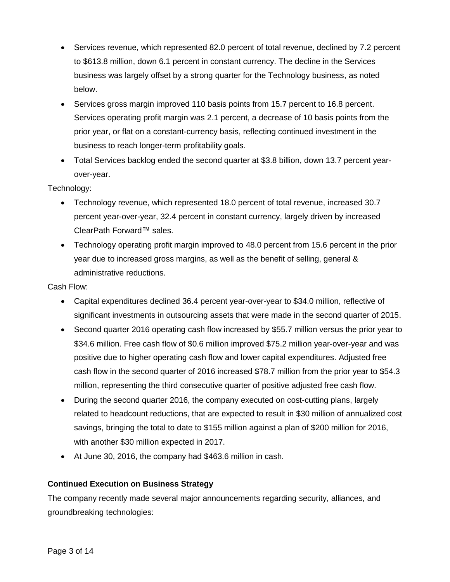- Services revenue, which represented 82.0 percent of total revenue, declined by 7.2 percent to \$613.8 million, down 6.1 percent in constant currency. The decline in the Services business was largely offset by a strong quarter for the Technology business, as noted below.
- Services gross margin improved 110 basis points from 15.7 percent to 16.8 percent. Services operating profit margin was 2.1 percent, a decrease of 10 basis points from the prior year, or flat on a constant-currency basis, reflecting continued investment in the business to reach longer-term profitability goals.
- Total Services backlog ended the second quarter at \$3.8 billion, down 13.7 percent yearover-year.

## Technology:

- Technology revenue, which represented 18.0 percent of total revenue, increased 30.7 percent year-over-year, 32.4 percent in constant currency, largely driven by increased ClearPath Forward™ sales.
- Technology operating profit margin improved to 48.0 percent from 15.6 percent in the prior year due to increased gross margins, as well as the benefit of selling, general & administrative reductions.

## Cash Flow:

- Capital expenditures declined 36.4 percent year-over-year to \$34.0 million, reflective of significant investments in outsourcing assets that were made in the second quarter of 2015.
- Second quarter 2016 operating cash flow increased by \$55.7 million versus the prior year to \$34.6 million. Free cash flow of \$0.6 million improved \$75.2 million year-over-year and was positive due to higher operating cash flow and lower capital expenditures. Adjusted free cash flow in the second quarter of 2016 increased \$78.7 million from the prior year to \$54.3 million, representing the third consecutive quarter of positive adjusted free cash flow.
- During the second quarter 2016, the company executed on cost-cutting plans, largely related to headcount reductions, that are expected to result in \$30 million of annualized cost savings, bringing the total to date to \$155 million against a plan of \$200 million for 2016, with another \$30 million expected in 2017.
- At June 30, 2016, the company had \$463.6 million in cash.

## **Continued Execution on Business Strategy**

The company recently made several major announcements regarding security, alliances, and groundbreaking technologies: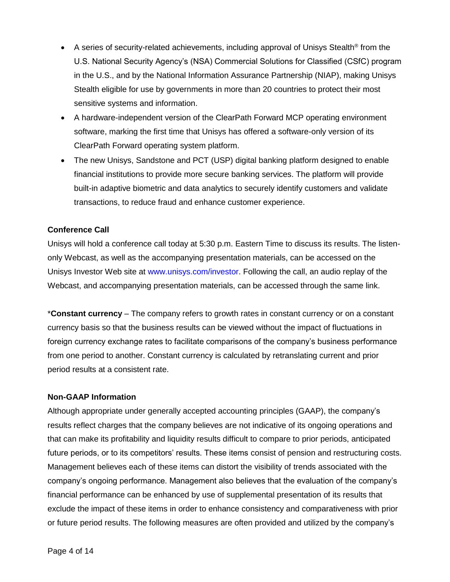- A series of security-related achievements, including approval of Unisys Stealth<sup>®</sup> from the U.S. National Security Agency's (NSA) Commercial Solutions for Classified (CSfC) program in the U.S., and by the National Information Assurance Partnership (NIAP), making Unisys Stealth eligible for use by governments in more than 20 countries to protect their most sensitive systems and information.
- A hardware-independent version of the ClearPath Forward MCP operating environment software, marking the first time that Unisys has offered a software-only version of its ClearPath Forward operating system platform.
- The new Unisys, Sandstone and PCT (USP) digital banking platform designed to enable financial institutions to provide more secure banking services. The platform will provide built-in adaptive biometric and data analytics to securely identify customers and validate transactions, to reduce fraud and enhance customer experience.

## **Conference Call**

Unisys will hold a conference call today at 5:30 p.m. Eastern Time to discuss its results. The listenonly Webcast, as well as the accompanying presentation materials, can be accessed on the Unisys Investor Web site at [www.unisys.com/investor.](http://www.unisys.com/investor) Following the call, an audio replay of the Webcast, and accompanying presentation materials, can be accessed through the same link.

\***Constant currency** – The company refers to growth rates in constant currency or on a constant currency basis so that the business results can be viewed without the impact of fluctuations in foreign currency exchange rates to facilitate comparisons of the company's business performance from one period to another. Constant currency is calculated by retranslating current and prior period results at a consistent rate.

## **Non-GAAP Information**

Although appropriate under generally accepted accounting principles (GAAP), the company's results reflect charges that the company believes are not indicative of its ongoing operations and that can make its profitability and liquidity results difficult to compare to prior periods, anticipated future periods, or to its competitors' results. These items consist of pension and restructuring costs. Management believes each of these items can distort the visibility of trends associated with the company's ongoing performance. Management also believes that the evaluation of the company's financial performance can be enhanced by use of supplemental presentation of its results that exclude the impact of these items in order to enhance consistency and comparativeness with prior or future period results. The following measures are often provided and utilized by the company's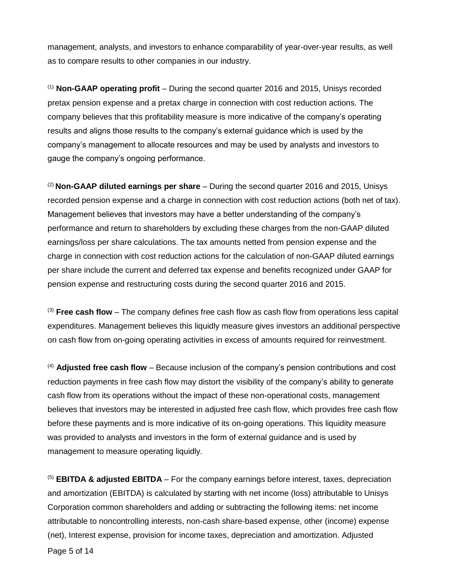management, analysts, and investors to enhance comparability of year-over-year results, as well as to compare results to other companies in our industry.

(1) **Non-GAAP operating profit** – During the second quarter 2016 and 2015, Unisys recorded pretax pension expense and a pretax charge in connection with cost reduction actions. The company believes that this profitability measure is more indicative of the company's operating results and aligns those results to the company's external guidance which is used by the company's management to allocate resources and may be used by analysts and investors to gauge the company's ongoing performance.

(2) **Non-GAAP diluted earnings per share** – During the second quarter 2016 and 2015, Unisys recorded pension expense and a charge in connection with cost reduction actions (both net of tax). Management believes that investors may have a better understanding of the company's performance and return to shareholders by excluding these charges from the non-GAAP diluted earnings/loss per share calculations. The tax amounts netted from pension expense and the charge in connection with cost reduction actions for the calculation of non-GAAP diluted earnings per share include the current and deferred tax expense and benefits recognized under GAAP for pension expense and restructuring costs during the second quarter 2016 and 2015.

(3) **Free cash flow** – The company defines free cash flow as cash flow from operations less capital expenditures. Management believes this liquidly measure gives investors an additional perspective on cash flow from on-going operating activities in excess of amounts required for reinvestment.

(4) **Adjusted free cash flow** – Because inclusion of the company's pension contributions and cost reduction payments in free cash flow may distort the visibility of the company's ability to generate cash flow from its operations without the impact of these non-operational costs, management believes that investors may be interested in adjusted free cash flow, which provides free cash flow before these payments and is more indicative of its on-going operations. This liquidity measure was provided to analysts and investors in the form of external guidance and is used by management to measure operating liquidly.

(5) **EBITDA & adjusted EBITDA** – For the company earnings before interest, taxes, depreciation and amortization (EBITDA) is calculated by starting with net income (loss) attributable to Unisys Corporation common shareholders and adding or subtracting the following items: net income attributable to noncontrolling interests, non-cash share-based expense, other (income) expense (net), Interest expense, provision for income taxes, depreciation and amortization. Adjusted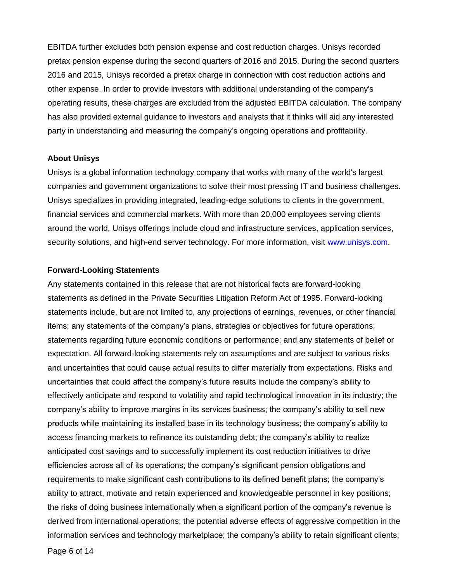EBITDA further excludes both pension expense and cost reduction charges. Unisys recorded pretax pension expense during the second quarters of 2016 and 2015. During the second quarters 2016 and 2015, Unisys recorded a pretax charge in connection with cost reduction actions and other expense. In order to provide investors with additional understanding of the company's operating results, these charges are excluded from the adjusted EBITDA calculation. The company has also provided external guidance to investors and analysts that it thinks will aid any interested party in understanding and measuring the company's ongoing operations and profitability.

#### **About Unisys**

Unisys is a global information technology company that works with many of the world's largest companies and government organizations to solve their most pressing IT and business challenges. Unisys specializes in providing integrated, leading-edge solutions to clients in the government, financial services and commercial markets. With more than 20,000 employees serving clients around the world, Unisys offerings include cloud and infrastructure services, application services, security solutions, and high-end server technology. For more information, visit [www.unisys.com.](http://www.unisys.com/)

#### **Forward-Looking Statements**

Any statements contained in this release that are not historical facts are forward-looking statements as defined in the Private Securities Litigation Reform Act of 1995. Forward-looking statements include, but are not limited to, any projections of earnings, revenues, or other financial items; any statements of the company's plans, strategies or objectives for future operations; statements regarding future economic conditions or performance; and any statements of belief or expectation. All forward-looking statements rely on assumptions and are subject to various risks and uncertainties that could cause actual results to differ materially from expectations. Risks and uncertainties that could affect the company's future results include the company's ability to effectively anticipate and respond to volatility and rapid technological innovation in its industry; the company's ability to improve margins in its services business; the company's ability to sell new products while maintaining its installed base in its technology business; the company's ability to access financing markets to refinance its outstanding debt; the company's ability to realize anticipated cost savings and to successfully implement its cost reduction initiatives to drive efficiencies across all of its operations; the company's significant pension obligations and requirements to make significant cash contributions to its defined benefit plans; the company's ability to attract, motivate and retain experienced and knowledgeable personnel in key positions; the risks of doing business internationally when a significant portion of the company's revenue is derived from international operations; the potential adverse effects of aggressive competition in the information services and technology marketplace; the company's ability to retain significant clients;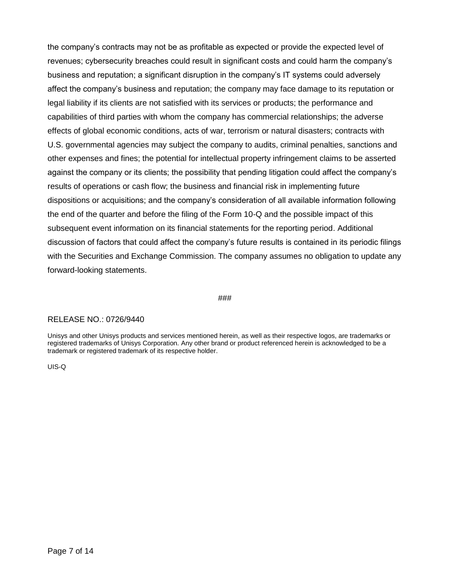the company's contracts may not be as profitable as expected or provide the expected level of revenues; cybersecurity breaches could result in significant costs and could harm the company's business and reputation; a significant disruption in the company's IT systems could adversely affect the company's business and reputation; the company may face damage to its reputation or legal liability if its clients are not satisfied with its services or products; the performance and capabilities of third parties with whom the company has commercial relationships; the adverse effects of global economic conditions, acts of war, terrorism or natural disasters; contracts with U.S. governmental agencies may subject the company to audits, criminal penalties, sanctions and other expenses and fines; the potential for intellectual property infringement claims to be asserted against the company or its clients; the possibility that pending litigation could affect the company's results of operations or cash flow; the business and financial risk in implementing future dispositions or acquisitions; and the company's consideration of all available information following the end of the quarter and before the filing of the Form 10-Q and the possible impact of this subsequent event information on its financial statements for the reporting period. Additional discussion of factors that could affect the company's future results is contained in its periodic filings with the Securities and Exchange Commission. The company assumes no obligation to update any forward-looking statements.

#### ###

#### RELEASE NO.: 0726/9440

Unisys and other Unisys products and services mentioned herein, as well as their respective logos, are trademarks or registered trademarks of Unisys Corporation. Any other brand or product referenced herein is acknowledged to be a trademark or registered trademark of its respective holder.

UIS-Q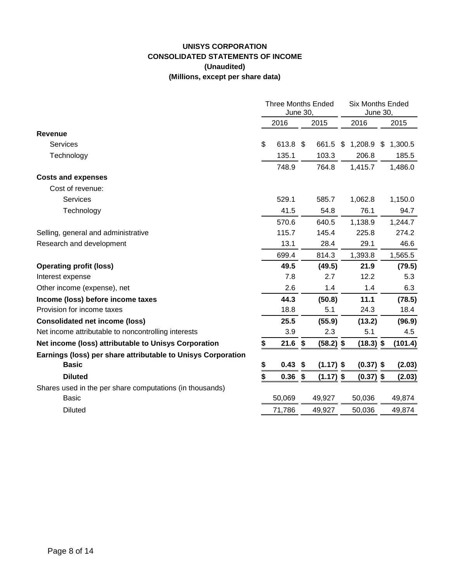## **UNISYS CORPORATION CONSOLIDATED STATEMENTS OF INCOME (Unaudited) (Millions, except per share data)**

|                                                              | <b>Three Months Ended</b><br><b>June 30,</b> |           |  |             | <b>Six Months Ended</b><br>June 30, |             |      |         |
|--------------------------------------------------------------|----------------------------------------------|-----------|--|-------------|-------------------------------------|-------------|------|---------|
|                                                              |                                              | 2016      |  | 2015        |                                     | 2016        |      | 2015    |
| <b>Revenue</b>                                               |                                              |           |  |             |                                     |             |      |         |
| Services                                                     | \$                                           | 613.8 \$  |  | 661.5       | S.                                  | 1,208.9     | - \$ | 1,300.5 |
| Technology                                                   |                                              | 135.1     |  | 103.3       |                                     | 206.8       |      | 185.5   |
|                                                              |                                              | 748.9     |  | 764.8       |                                     | 1,415.7     |      | 1,486.0 |
| <b>Costs and expenses</b>                                    |                                              |           |  |             |                                     |             |      |         |
| Cost of revenue:                                             |                                              |           |  |             |                                     |             |      |         |
| <b>Services</b>                                              |                                              | 529.1     |  | 585.7       |                                     | 1,062.8     |      | 1,150.0 |
| Technology                                                   |                                              | 41.5      |  | 54.8        |                                     | 76.1        |      | 94.7    |
|                                                              |                                              | 570.6     |  | 640.5       |                                     | 1,138.9     |      | 1,244.7 |
| Selling, general and administrative                          |                                              | 115.7     |  | 145.4       |                                     | 225.8       |      | 274.2   |
| Research and development                                     |                                              | 13.1      |  | 28.4        |                                     | 29.1        |      | 46.6    |
|                                                              |                                              | 699.4     |  | 814.3       |                                     | 1,393.8     |      | 1,565.5 |
| <b>Operating profit (loss)</b>                               |                                              | 49.5      |  | (49.5)      |                                     | 21.9        |      | (79.5)  |
| Interest expense                                             |                                              | 7.8       |  | 2.7         |                                     | 12.2        |      | 5.3     |
| Other income (expense), net                                  |                                              | 2.6       |  | 1.4         |                                     | 1.4         |      | 6.3     |
| Income (loss) before income taxes                            |                                              | 44.3      |  | (50.8)      |                                     | 11.1        |      | (78.5)  |
| Provision for income taxes                                   |                                              | 18.8      |  | 5.1         |                                     | 24.3        |      | 18.4    |
| <b>Consolidated net income (loss)</b>                        |                                              | 25.5      |  | (55.9)      |                                     | (13.2)      |      | (96.9)  |
| Net income attributable to noncontrolling interests          |                                              | 3.9       |  | 2.3         |                                     | 5.1         |      | 4.5     |
| Net income (loss) attributable to Unisys Corporation         | \$                                           | $21.6$ \$ |  | $(58.2)$ \$ |                                     | $(18.3)$ \$ |      | (101.4) |
| Earnings (loss) per share attributable to Unisys Corporation |                                              |           |  |             |                                     |             |      |         |
| <b>Basic</b>                                                 | \$                                           | $0.43$ \$ |  | $(1.17)$ \$ |                                     | $(0.37)$ \$ |      | (2.03)  |
| <b>Diluted</b>                                               | \$                                           | $0.36$ \$ |  | $(1.17)$ \$ |                                     | $(0.37)$ \$ |      | (2.03)  |
| Shares used in the per share computations (in thousands)     |                                              |           |  |             |                                     |             |      |         |
| <b>Basic</b>                                                 |                                              | 50,069    |  | 49,927      |                                     | 50,036      |      | 49,874  |
| <b>Diluted</b>                                               |                                              | 71,786    |  | 49,927      |                                     | 50,036      |      | 49,874  |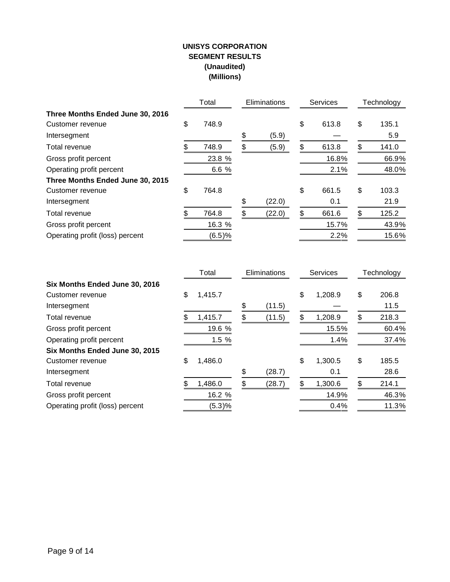## **UNISYS CORPORATION SEGMENT RESULTS (Unaudited) (Millions)**

|                                  |     | Total  | Eliminations | <b>Services</b> |       | Technology |       |
|----------------------------------|-----|--------|--------------|-----------------|-------|------------|-------|
| Three Months Ended June 30, 2016 |     |        |              |                 |       |            |       |
| Customer revenue                 | \$  | 748.9  |              | \$              | 613.8 | \$         | 135.1 |
| Intersegment                     |     |        | \$<br>(5.9)  |                 |       |            | 5.9   |
| Total revenue                    | \$. | 748.9  | \$<br>(5.9)  | S               | 613.8 | S          | 141.0 |
| Gross profit percent             |     | 23.8 % |              |                 | 16.8% |            | 66.9% |
| Operating profit percent         |     | 6.6 %  |              |                 | 2.1%  |            | 48.0% |
| Three Months Ended June 30, 2015 |     |        |              |                 |       |            |       |
| Customer revenue                 | \$  | 764.8  |              | \$              | 661.5 | \$         | 103.3 |
| Intersegment                     |     |        | \$<br>(22.0) |                 | 0.1   |            | 21.9  |
| Total revenue                    |     | 764.8  | \$<br>(22.0) | \$              | 661.6 | \$         | 125.2 |
| Gross profit percent             |     | 16.3 % |              |                 | 15.7% |            | 43.9% |
| Operating profit (loss) percent  |     | (6.5)% |              |                 | 2.2%  |            | 15.6% |

|                                 | Total         | Eliminations |        | <b>Services</b> |         | Technology  |
|---------------------------------|---------------|--------------|--------|-----------------|---------|-------------|
| Six Months Ended June 30, 2016  |               |              |        |                 |         |             |
| Customer revenue                | \$<br>1,415.7 |              |        | \$              | 1,208.9 | \$<br>206.8 |
| Intersegment                    |               | \$           | (11.5) |                 |         | 11.5        |
| Total revenue                   | 1,415.7       | \$           | (11.5) | \$              | 1,208.9 | \$<br>218.3 |
| Gross profit percent            | 19.6 %        |              |        |                 | 15.5%   | 60.4%       |
| Operating profit percent        | 1.5 %         |              |        |                 | 1.4%    | 37.4%       |
| Six Months Ended June 30, 2015  |               |              |        |                 |         |             |
| Customer revenue                | \$<br>1,486.0 |              |        | \$              | 1,300.5 | \$<br>185.5 |
| Intersegment                    |               | \$           | (28.7) |                 | 0.1     | 28.6        |
| Total revenue                   | 1,486.0       | \$           | (28.7) | \$              | 1,300.6 | \$<br>214.1 |
| Gross profit percent            | 16.2 %        |              |        |                 | 14.9%   | 46.3%       |
| Operating profit (loss) percent | (5.3)%        |              |        |                 | 0.4%    | 11.3%       |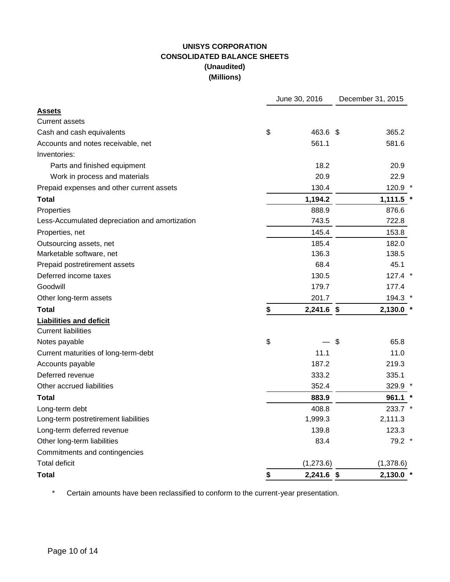## **UNISYS CORPORATION CONSOLIDATED BALANCE SHEETS (Unaudited) (Millions)**

|                                                | June 30, 2016      |                           | December 31, 2015 |
|------------------------------------------------|--------------------|---------------------------|-------------------|
| <b>Assets</b>                                  |                    |                           |                   |
| <b>Current assets</b>                          |                    |                           |                   |
| Cash and cash equivalents                      | \$<br>463.6 \$     |                           | 365.2             |
| Accounts and notes receivable, net             | 561.1              |                           | 581.6             |
| Inventories:                                   |                    |                           |                   |
| Parts and finished equipment                   | 18.2               |                           | 20.9              |
| Work in process and materials                  | 20.9               |                           | 22.9              |
| Prepaid expenses and other current assets      | 130.4              |                           | 120.9 *           |
| <b>Total</b>                                   | 1,194.2            |                           | 1,111.5           |
| Properties                                     | 888.9              |                           | 876.6             |
| Less-Accumulated depreciation and amortization | 743.5              |                           | 722.8             |
| Properties, net                                | 145.4              |                           | 153.8             |
| Outsourcing assets, net                        | 185.4              |                           | 182.0             |
| Marketable software, net                       | 136.3              |                           | 138.5             |
| Prepaid postretirement assets                  | 68.4               |                           | 45.1              |
| Deferred income taxes                          | 130.5              |                           | $127.4$ *         |
| Goodwill                                       | 179.7              |                           | 177.4             |
| Other long-term assets                         | 201.7              |                           | 194.3 *           |
| <b>Total</b>                                   | \$<br>$2,241.6$ \$ |                           | $2,130.0$ *       |
| <b>Liabilities and deficit</b>                 |                    |                           |                   |
| <b>Current liabilities</b>                     |                    |                           |                   |
| Notes payable                                  | \$                 | $\boldsymbol{\mathsf{S}}$ | 65.8              |
| Current maturities of long-term-debt           | 11.1               |                           | 11.0              |
| Accounts payable                               | 187.2              |                           | 219.3             |
| Deferred revenue                               | 333.2              |                           | 335.1             |
| Other accrued liabilities                      | 352.4              |                           | 329.9 *           |
| Total                                          | 883.9              |                           | 961.1             |
| Long-term debt                                 | 408.8              |                           | 233.7             |
| Long-term postretirement liabilities           | 1,999.3            |                           | 2,111.3           |
| Long-term deferred revenue                     | 139.8              |                           | 123.3             |
| Other long-term liabilities                    | 83.4               |                           | 79.2 *            |
| Commitments and contingencies                  |                    |                           |                   |
| <b>Total deficit</b>                           | (1,273.6)          |                           | (1,378.6)         |
| <b>Total</b>                                   | \$<br>2,241.6 \$   |                           | $2,130.0$ *       |

\* Certain amounts have been reclassified to conform to the current-year presentation.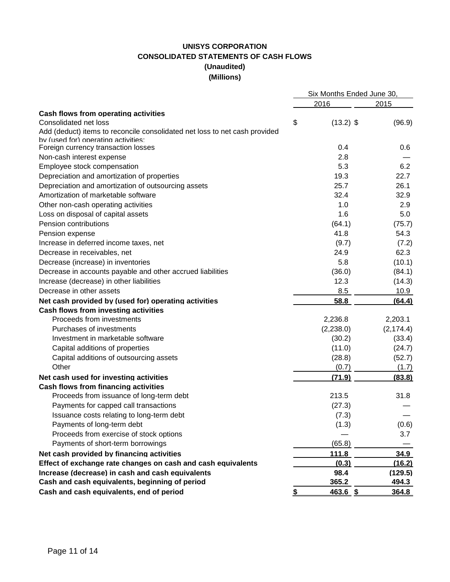## **UNISYS CORPORATION CONSOLIDATED STATEMENTS OF CASH FLOWS (Unaudited) (Millions)**

|                                                                            | Six Months Ended June 30, |            |  |
|----------------------------------------------------------------------------|---------------------------|------------|--|
|                                                                            | 2016                      | 2015       |  |
| Cash flows from operating activities                                       |                           |            |  |
| Consolidated net loss                                                      | \$<br>$(13.2)$ \$         | (96.9)     |  |
| Add (deduct) items to reconcile consolidated net loss to net cash provided |                           |            |  |
| by (used for) operating activities:                                        |                           |            |  |
| Foreign currency transaction losses                                        | 0.4                       | 0.6        |  |
| Non-cash interest expense                                                  | 2.8                       |            |  |
| Employee stock compensation                                                | 5.3                       | 6.2        |  |
| Depreciation and amortization of properties                                | 19.3                      | 22.7       |  |
| Depreciation and amortization of outsourcing assets                        | 25.7                      | 26.1       |  |
| Amortization of marketable software                                        | 32.4                      | 32.9       |  |
| Other non-cash operating activities                                        | 1.0                       | 2.9        |  |
| Loss on disposal of capital assets                                         | 1.6                       | 5.0        |  |
| Pension contributions                                                      | (64.1)                    | (75.7)     |  |
| Pension expense                                                            | 41.8                      | 54.3       |  |
| Increase in deferred income taxes, net                                     | (9.7)                     | (7.2)      |  |
| Decrease in receivables, net                                               | 24.9                      | 62.3       |  |
| Decrease (increase) in inventories                                         | 5.8                       | (10.1)     |  |
| Decrease in accounts payable and other accrued liabilities                 | (36.0)                    | (84.1)     |  |
| Increase (decrease) in other liabilities                                   | 12.3                      | (14.3)     |  |
| Decrease in other assets                                                   | 8.5                       | 10.9       |  |
| Net cash provided by (used for) operating activities                       | 58.8                      | (64.4)     |  |
| <b>Cash flows from investing activities</b>                                |                           |            |  |
| Proceeds from investments                                                  | 2,236.8                   | 2,203.1    |  |
| Purchases of investments                                                   | (2,238.0)                 | (2, 174.4) |  |
| Investment in marketable software                                          | (30.2)                    | (33.4)     |  |
| Capital additions of properties                                            | (11.0)                    | (24.7)     |  |
| Capital additions of outsourcing assets                                    | (28.8)                    | (52.7)     |  |
| Other                                                                      | (0.7)                     | (1.7)      |  |
| Net cash used for investing activities                                     | (71.9)                    | (83.8)     |  |
| <b>Cash flows from financing activities</b>                                |                           |            |  |
| Proceeds from issuance of long-term debt                                   | 213.5                     | 31.8       |  |
| Payments for capped call transactions                                      | (27.3)                    |            |  |
| Issuance costs relating to long-term debt                                  | (7.3)                     |            |  |
| Payments of long-term debt                                                 | (1.3)                     | (0.6)      |  |
| Proceeds from exercise of stock options                                    |                           | 3.7        |  |
| Payments of short-term borrowings                                          | (65.8)                    |            |  |
| Net cash provided by financing activities                                  | 111.8                     | 34.9       |  |
| Effect of exchange rate changes on cash and cash equivalents               | (0.3)                     | (16.2)     |  |
| Increase (decrease) in cash and cash equivalents                           | 98.4                      | (129.5)    |  |
| Cash and cash equivalents, beginning of period                             | 365.2                     | 494.3      |  |
| Cash and cash equivalents, end of period                                   | \$<br>$463.6$ \$          | 364.8      |  |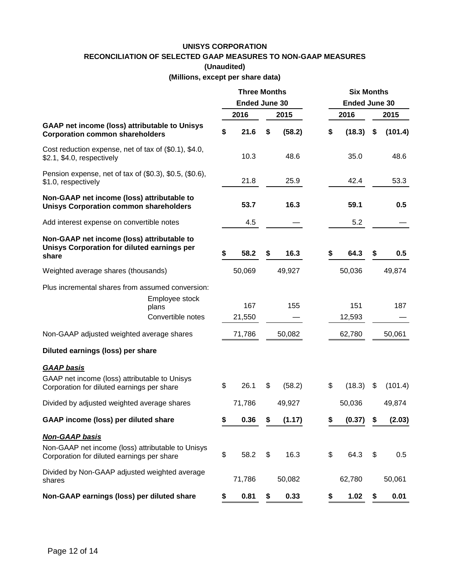## **UNISYS CORPORATION RECONCILIATION OF SELECTED GAAP MEASURES TO NON-GAAP MEASURES**

**(Unaudited)**

**(Millions, except per share data)**

|                                                                                                                          | <b>Three Months</b><br><b>Ended June 30</b> |               |    | <b>Six Months</b><br><b>Ended June 30</b> |    |               |      |         |
|--------------------------------------------------------------------------------------------------------------------------|---------------------------------------------|---------------|----|-------------------------------------------|----|---------------|------|---------|
|                                                                                                                          |                                             | 2016          |    | 2015                                      |    | 2016          | 2015 |         |
| <b>GAAP net income (loss) attributable to Unisys</b><br><b>Corporation common shareholders</b>                           | \$                                          | 21.6          | \$ | (58.2)                                    | \$ | (18.3)        | \$   | (101.4) |
| Cost reduction expense, net of tax of (\$0.1), \$4.0,<br>\$2.1, \$4.0, respectively                                      |                                             | 10.3          |    | 48.6                                      |    | 35.0          |      | 48.6    |
| Pension expense, net of tax of (\$0.3), \$0.5, (\$0.6),<br>\$1.0, respectively                                           |                                             | 21.8          |    | 25.9                                      |    | 42.4          |      | 53.3    |
| Non-GAAP net income (loss) attributable to<br><b>Unisys Corporation common shareholders</b>                              |                                             | 53.7          |    | 16.3                                      |    | 59.1          |      | 0.5     |
| Add interest expense on convertible notes                                                                                |                                             | 4.5           |    |                                           |    | 5.2           |      |         |
| Non-GAAP net income (loss) attributable to<br>Unisys Corporation for diluted earnings per<br>share                       | \$                                          | 58.2          | \$ | 16.3                                      | \$ | 64.3          | \$   | 0.5     |
| Weighted average shares (thousands)                                                                                      |                                             | 50,069        |    | 49,927                                    |    | 50,036        |      | 49,874  |
| Plus incremental shares from assumed conversion:<br>Employee stock<br>plans<br>Convertible notes                         |                                             | 167<br>21,550 |    | 155                                       |    | 151<br>12,593 |      | 187     |
| Non-GAAP adjusted weighted average shares                                                                                |                                             | 71,786        |    | 50,082                                    |    | 62,780        |      | 50,061  |
| Diluted earnings (loss) per share                                                                                        |                                             |               |    |                                           |    |               |      |         |
| <b>GAAP</b> basis<br>GAAP net income (loss) attributable to Unisys<br>Corporation for diluted earnings per share         | \$                                          | 26.1          | \$ | (58.2)                                    | \$ | (18.3)        | \$   | (101.4) |
| Divided by adjusted weighted average shares                                                                              |                                             | 71,786        |    | 49,927                                    |    | 50,036        |      | 49,874  |
| <b>GAAP income (loss) per diluted share</b>                                                                              | P                                           | 0.36          |    | (1.17)                                    | \$ | (0.37)        | \$   | (2.03)  |
| <b>Non-GAAP basis</b><br>Non-GAAP net income (loss) attributable to Unisys<br>Corporation for diluted earnings per share | \$                                          | 58.2          | \$ | 16.3                                      | \$ | 64.3          | \$   | 0.5     |
| Divided by Non-GAAP adjusted weighted average<br>shares                                                                  |                                             | 71,786        |    | 50,082                                    |    | 62,780        |      | 50,061  |
| Non-GAAP earnings (loss) per diluted share                                                                               | \$                                          | 0.81          | \$ | 0.33                                      | \$ | 1.02          | \$   | 0.01    |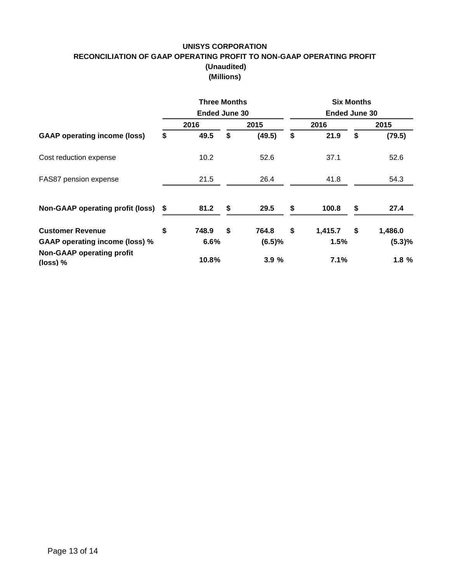## **UNISYS CORPORATION RECONCILIATION OF GAAP OPERATING PROFIT TO NON-GAAP OPERATING PROFIT (Unaudited) (Millions)**

|                                                | <b>Three Months</b>  |              | <b>Six Months</b>    |         |      |         |  |  |  |
|------------------------------------------------|----------------------|--------------|----------------------|---------|------|---------|--|--|--|
|                                                | <b>Ended June 30</b> |              | <b>Ended June 30</b> |         |      |         |  |  |  |
|                                                | 2016                 | 2015         |                      | 2016    | 2015 |         |  |  |  |
| <b>GAAP operating income (loss)</b>            | \$<br>49.5           | \$<br>(49.5) | \$                   | 21.9    | \$   | (79.5)  |  |  |  |
| Cost reduction expense                         | 10.2 <sub>1</sub>    | 52.6         |                      | 37.1    |      | 52.6    |  |  |  |
| FAS87 pension expense                          | 21.5                 | 26.4         |                      | 41.8    |      | 54.3    |  |  |  |
| <b>Non-GAAP operating profit (loss)</b>        | 81.2                 | \$<br>29.5   | \$                   | 100.8   | S    | 27.4    |  |  |  |
| <b>Customer Revenue</b>                        | \$<br>748.9          | \$<br>764.8  | \$                   | 1,415.7 | \$   | 1,486.0 |  |  |  |
| <b>GAAP operating income (loss) %</b>          | 6.6%                 | (6.5)%       |                      | 1.5%    |      | (5.3)%  |  |  |  |
| <b>Non-GAAP operating profit</b><br>$(loss)$ % | 10.8%                | 3.9%         |                      | 7.1%    |      | 1.8%    |  |  |  |